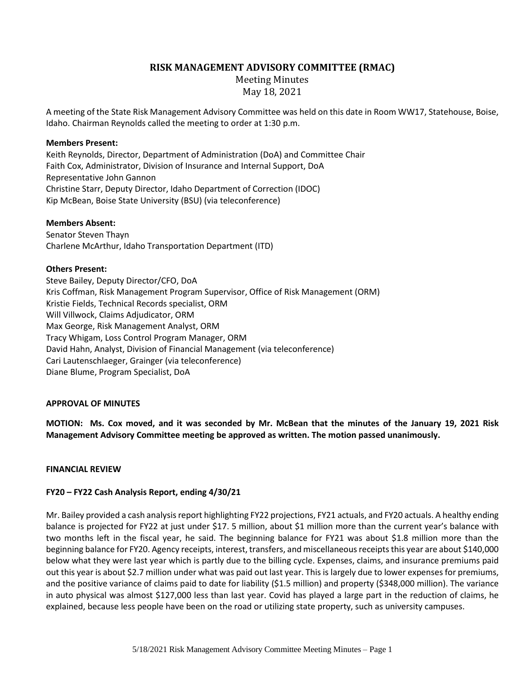# **RISK MANAGEMENT ADVISORY COMMITTEE (RMAC)**

Meeting Minutes May 18, 2021

A meeting of the State Risk Management Advisory Committee was held on this date in Room WW17, Statehouse, Boise, Idaho. Chairman Reynolds called the meeting to order at 1:30 p.m.

### **Members Present:**

Keith Reynolds, Director, Department of Administration (DoA) and Committee Chair Faith Cox, Administrator, Division of Insurance and Internal Support, DoA Representative John Gannon Christine Starr, Deputy Director, Idaho Department of Correction (IDOC) Kip McBean, Boise State University (BSU) (via teleconference)

### **Members Absent:**

Senator Steven Thayn Charlene McArthur, Idaho Transportation Department (ITD)

### **Others Present:**

Steve Bailey, Deputy Director/CFO, DoA Kris Coffman, Risk Management Program Supervisor, Office of Risk Management (ORM) Kristie Fields, Technical Records specialist, ORM Will Villwock, Claims Adjudicator, ORM Max George, Risk Management Analyst, ORM Tracy Whigam, Loss Control Program Manager, ORM David Hahn, Analyst, Division of Financial Management (via teleconference) Cari Lautenschlaeger, Grainger (via teleconference) Diane Blume, Program Specialist, DoA

## **APPROVAL OF MINUTES**

**MOTION: Ms. Cox moved, and it was seconded by Mr. McBean that the minutes of the January 19, 2021 Risk Management Advisory Committee meeting be approved as written. The motion passed unanimously.**

#### **FINANCIAL REVIEW**

## **FY20 – FY22 Cash Analysis Report, ending 4/30/21**

Mr. Bailey provided a cash analysis report highlighting FY22 projections, FY21 actuals, and FY20 actuals. A healthy ending balance is projected for FY22 at just under \$17. 5 million, about \$1 million more than the current year's balance with two months left in the fiscal year, he said. The beginning balance for FY21 was about \$1.8 million more than the beginning balance for FY20. Agency receipts, interest, transfers, and miscellaneous receipts this year are about \$140,000 below what they were last year which is partly due to the billing cycle. Expenses, claims, and insurance premiums paid out this year is about \$2.7 million under what was paid out last year. This is largely due to lower expenses for premiums, and the positive variance of claims paid to date for liability (\$1.5 million) and property (\$348,000 million). The variance in auto physical was almost \$127,000 less than last year. Covid has played a large part in the reduction of claims, he explained, because less people have been on the road or utilizing state property, such as university campuses.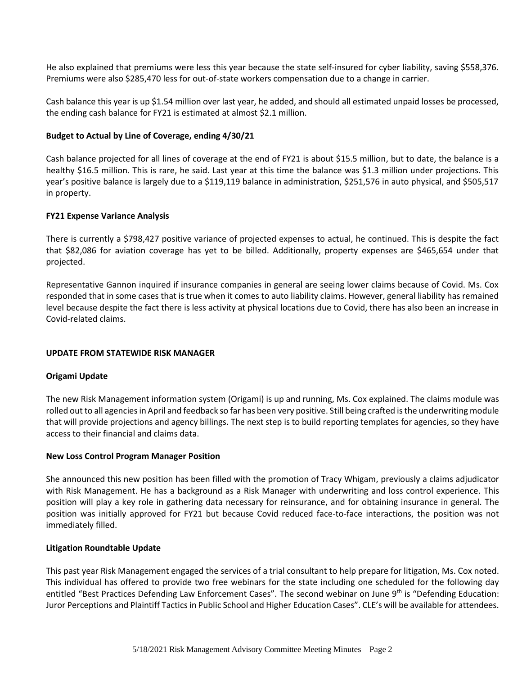He also explained that premiums were less this year because the state self-insured for cyber liability, saving \$558,376. Premiums were also \$285,470 less for out-of-state workers compensation due to a change in carrier.

Cash balance this year is up \$1.54 million over last year, he added, and should all estimated unpaid losses be processed, the ending cash balance for FY21 is estimated at almost \$2.1 million.

## **Budget to Actual by Line of Coverage, ending 4/30/21**

Cash balance projected for all lines of coverage at the end of FY21 is about \$15.5 million, but to date, the balance is a healthy \$16.5 million. This is rare, he said. Last year at this time the balance was \$1.3 million under projections. This year's positive balance is largely due to a \$119,119 balance in administration, \$251,576 in auto physical, and \$505,517 in property.

### **FY21 Expense Variance Analysis**

There is currently a \$798,427 positive variance of projected expenses to actual, he continued. This is despite the fact that \$82,086 for aviation coverage has yet to be billed. Additionally, property expenses are \$465,654 under that projected.

Representative Gannon inquired if insurance companies in general are seeing lower claims because of Covid. Ms. Cox responded that in some cases that is true when it comes to auto liability claims. However, general liability has remained level because despite the fact there is less activity at physical locations due to Covid, there has also been an increase in Covid-related claims.

#### **UPDATE FROM STATEWIDE RISK MANAGER**

#### **Origami Update**

The new Risk Management information system (Origami) is up and running, Ms. Cox explained. The claims module was rolled out to all agencies in April and feedback so far has been very positive. Still being crafted is the underwriting module that will provide projections and agency billings. The next step is to build reporting templates for agencies, so they have access to their financial and claims data.

#### **New Loss Control Program Manager Position**

She announced this new position has been filled with the promotion of Tracy Whigam, previously a claims adjudicator with Risk Management. He has a background as a Risk Manager with underwriting and loss control experience. This position will play a key role in gathering data necessary for reinsurance, and for obtaining insurance in general. The position was initially approved for FY21 but because Covid reduced face-to-face interactions, the position was not immediately filled.

#### **Litigation Roundtable Update**

This past year Risk Management engaged the services of a trial consultant to help prepare for litigation, Ms. Cox noted. This individual has offered to provide two free webinars for the state including one scheduled for the following day entitled "Best Practices Defending Law Enforcement Cases". The second webinar on June 9<sup>th</sup> is "Defending Education: Juror Perceptions and Plaintiff Tactics in Public School and Higher Education Cases". CLE's will be available for attendees.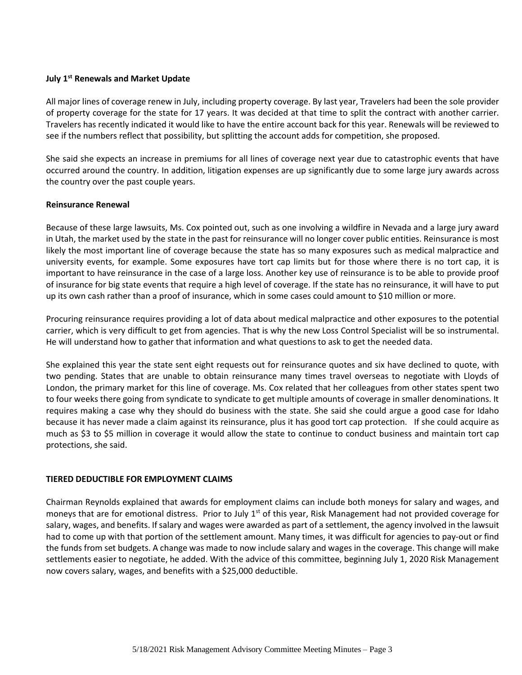### **July 1st Renewals and Market Update**

All major lines of coverage renew in July, including property coverage. By last year, Travelers had been the sole provider of property coverage for the state for 17 years. It was decided at that time to split the contract with another carrier. Travelers has recently indicated it would like to have the entire account back for this year. Renewals will be reviewed to see if the numbers reflect that possibility, but splitting the account adds for competition, she proposed.

She said she expects an increase in premiums for all lines of coverage next year due to catastrophic events that have occurred around the country. In addition, litigation expenses are up significantly due to some large jury awards across the country over the past couple years.

### **Reinsurance Renewal**

Because of these large lawsuits, Ms. Cox pointed out, such as one involving a wildfire in Nevada and a large jury award in Utah, the market used by the state in the past for reinsurance will no longer cover public entities. Reinsurance is most likely the most important line of coverage because the state has so many exposures such as medical malpractice and university events, for example. Some exposures have tort cap limits but for those where there is no tort cap, it is important to have reinsurance in the case of a large loss. Another key use of reinsurance is to be able to provide proof of insurance for big state events that require a high level of coverage. If the state has no reinsurance, it will have to put up its own cash rather than a proof of insurance, which in some cases could amount to \$10 million or more.

Procuring reinsurance requires providing a lot of data about medical malpractice and other exposures to the potential carrier, which is very difficult to get from agencies. That is why the new Loss Control Specialist will be so instrumental. He will understand how to gather that information and what questions to ask to get the needed data.

She explained this year the state sent eight requests out for reinsurance quotes and six have declined to quote, with two pending. States that are unable to obtain reinsurance many times travel overseas to negotiate with Lloyds of London, the primary market for this line of coverage. Ms. Cox related that her colleagues from other states spent two to four weeks there going from syndicate to syndicate to get multiple amounts of coverage in smaller denominations. It requires making a case why they should do business with the state. She said she could argue a good case for Idaho because it has never made a claim against its reinsurance, plus it has good tort cap protection. If she could acquire as much as \$3 to \$5 million in coverage it would allow the state to continue to conduct business and maintain tort cap protections, she said.

## **TIERED DEDUCTIBLE FOR EMPLOYMENT CLAIMS**

Chairman Reynolds explained that awards for employment claims can include both moneys for salary and wages, and moneys that are for emotional distress. Prior to July  $1<sup>st</sup>$  of this year, Risk Management had not provided coverage for salary, wages, and benefits. If salary and wages were awarded as part of a settlement, the agency involved in the lawsuit had to come up with that portion of the settlement amount. Many times, it was difficult for agencies to pay-out or find the funds from set budgets. A change was made to now include salary and wages in the coverage. This change will make settlements easier to negotiate, he added. With the advice of this committee, beginning July 1, 2020 Risk Management now covers salary, wages, and benefits with a \$25,000 deductible.